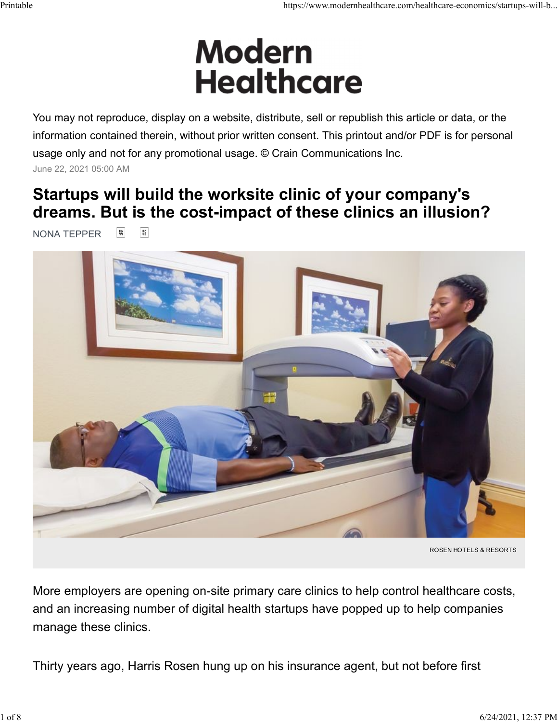# Printable https://www.modernhealthcare.com/healthcare-economics/startups-will-b...<br>
Modern H

You may not reproduce, display on a website, distribute, sell or republish this article or data, or the information contained therein, without prior written consent. This printout and/or PDF is for personal usage only and not for any promotional usage. © Crain Communications Inc. June 22, 2021 05:00 AM

# Startups will build the worksite clinic of your company's dreams. But is the cost-impact of these clinics an illusion?

**NONA TEPPER** [ [ [ ]



ROSEN HOTELS & RESORTS

More employers are opening on-site primary care clinics to help control healthcare costs, and an increasing number of digital health startups have popped up to help companies manage these clinics.

Thirty years ago, Harris Rosen hung up on his insurance agent, but not before first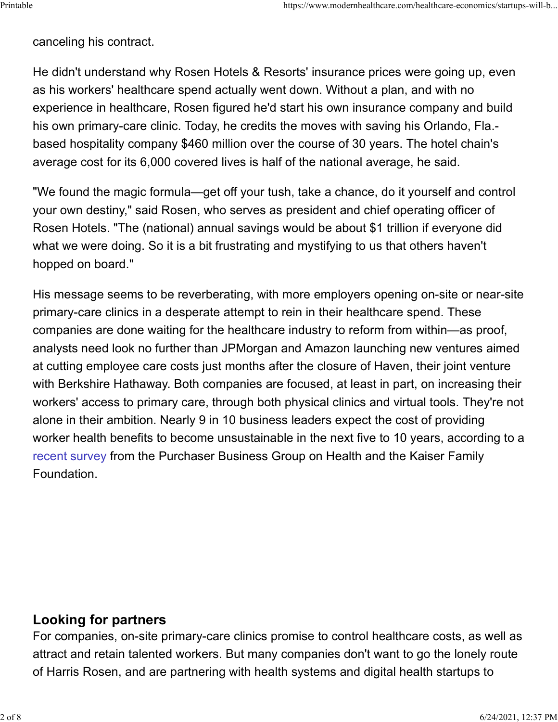canceling his contract.

He didn't understand why Rosen Hotels & Resorts' insurance prices were going up, even as his workers' healthcare spend actually went down. Without a plan, and with no experience in healthcare, Rosen figured he'd start his own insurance company and build his own primary-care clinic. Today, he credits the moves with saving his Orlando, Fla. based hospitality company \$460 million over the course of 30 years. The hotel chain's average cost for its 6,000 covered lives is half of the national average, he said.

"We found the magic formula—get off your tush, take a chance, do it yourself and control your own destiny," said Rosen, who serves as president and chief operating officer of Rosen Hotels. "The (national) annual savings would be about \$1 trillion if everyone did what we were doing. So it is a bit frustrating and mystifying to us that others haven't hopped on board."

His message seems to be reverberating, with more employers opening on-site or near-site primary-care clinics in a desperate attempt to rein in their healthcare spend. These companies are done waiting for the healthcare industry to reform from within—as proof, analysts need look no further than JPMorgan and Amazon launching new ventures aimed at cutting employee care costs just months after the closure of Haven, their joint venture with Berkshire Hathaway. Both companies are focused, at least in part, on increasing their workers' access to primary care, through both physical clinics and virtual tools. They're not alone in their ambition. Nearly 9 in 10 business leaders expect the cost of providing worker health benefits to become unsustainable in the next five to 10 years, according to a recent survey from the Purchaser Business Group on Health and the Kaiser Family Foundation.

# Looking for partners

For companies, on-site primary-care clinics promise to control healthcare costs, as well as attract and retain talented workers. But many companies don't want to go the lonely route of Harris Rosen, and are partnering with health systems and digital health startups to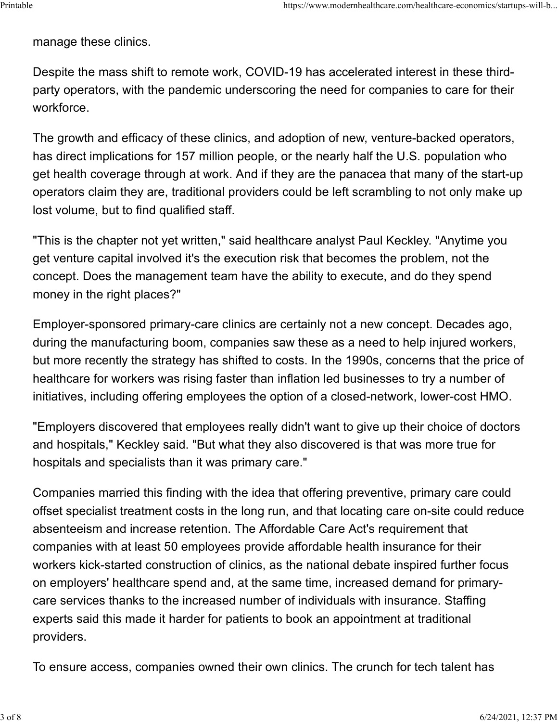manage these clinics.

Despite the mass shift to remote work, COVID-19 has accelerated interest in these thirdparty operators, with the pandemic underscoring the need for companies to care for their workforce.

The growth and efficacy of these clinics, and adoption of new, venture-backed operators, has direct implications for 157 million people, or the nearly half the U.S. population who get health coverage through at work. And if they are the panacea that many of the start-up operators claim they are, traditional providers could be left scrambling to not only make up lost volume, but to find qualified staff.

"This is the chapter not yet written," said healthcare analyst Paul Keckley. "Anytime you get venture capital involved it's the execution risk that becomes the problem, not the concept. Does the management team have the ability to execute, and do they spend money in the right places?"

Employer-sponsored primary-care clinics are certainly not a new concept. Decades ago, during the manufacturing boom, companies saw these as a need to help injured workers, but more recently the strategy has shifted to costs. In the 1990s, concerns that the price of healthcare for workers was rising faster than inflation led businesses to try a number of initiatives, including offering employees the option of a closed-network, lower-cost HMO.

"Employers discovered that employees really didn't want to give up their choice of doctors and hospitals," Keckley said. "But what they also discovered is that was more true for hospitals and specialists than it was primary care."

Companies married this finding with the idea that offering preventive, primary care could offset specialist treatment costs in the long run, and that locating care on-site could reduce absenteeism and increase retention. The Affordable Care Act's requirement that companies with at least 50 employees provide affordable health insurance for their workers kick-started construction of clinics, as the national debate inspired further focus on employers' healthcare spend and, at the same time, increased demand for primarycare services thanks to the increased number of individuals with insurance. Staffing experts said this made it harder for patients to book an appointment at traditional providers.

To ensure access, companies owned their own clinics. The crunch for tech talent has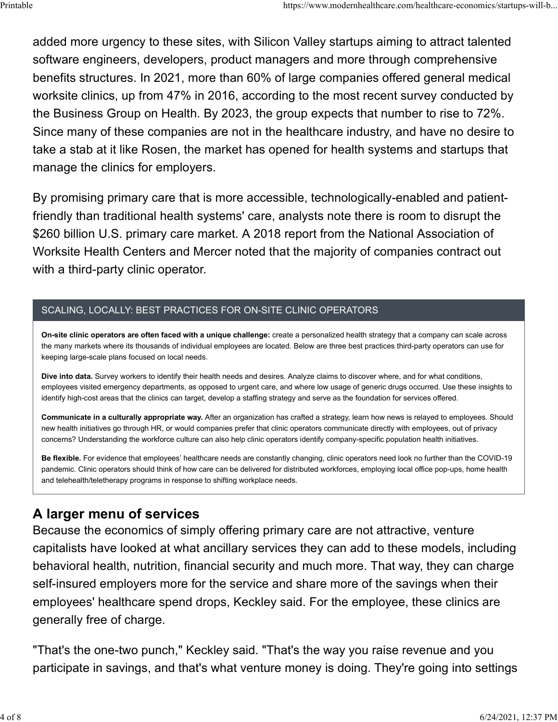added more urgency to these sites, with Silicon Valley startups aiming to attract talented software engineers, developers, product managers and more through comprehensive benefits structures. In 2021, more than 60% of large companies offered general medical worksite clinics, up from 47% in 2016, according to the most recent survey conducted by the Business Group on Health. By 2023, the group expects that number to rise to 72%. Since many of these companies are not in the healthcare industry, and have no desire to take a stab at it like Rosen, the market has opened for health systems and startups that manage the clinics for employers. ...driths://www.modernhealthcare.com/healthcare-economics/startups-will-b<br>added more urgency to these sites, with Silicon Valley startups aiming to attract talented<br>software engineers, developers, product managers and mor

By promising primary care that is more accessible, technologically-enabled and patientfriendly than traditional health systems' care, analysts note there is room to disrupt the \$260 billion U.S. primary care market. A 2018 report from the National Association of Worksite Health Centers and Mercer noted that the majority of companies contract out with a third-party clinic operator.

## SCALING, LOCALLY: BEST PRACTICES FOR ON-SITE CLINIC OPERATORS

On-site clinic operators are often faced with a unique challenge: create a personalized health strategy that a company can scale across the many markets where its thousands of individual employees are located. Below are three best practices third-party operators can use for keeping large-scale plans focused on local needs.

Dive into data. Survey workers to identify their health needs and desires. Analyze claims to discover where, and for what conditions, employees visited emergency departments, as opposed to urgent care, and where low usage of generic drugs occurred. Use these insights to identify high-cost areas that the clinics can target, develop a staffing strategy and serve as the foundation for services offered.

Communicate in a culturally appropriate way. After an organization has crafted a strategy, learn how news is relayed to employees. Should new health initiatives go through HR, or would companies prefer that clinic operators communicate directly with employees, out of privacy concerns? Understanding the workforce culture can also help clinic operators identify company-specific population health initiatives.

Be flexible. For evidence that employees' healthcare needs are constantly changing, clinic operators need look no further than the COVID-19 pandemic. Clinic operators should think of how care can be delivered for distributed workforces, employing local office pop-ups, home health and telehealth/teletherapy programs in response to shifting workplace needs.

# A larger menu of services

Because the economics of simply offering primary care are not attractive, venture capitalists have looked at what ancillary services they can add to these models, including behavioral health, nutrition, financial security and much more. That way, they can charge self-insured employers more for the service and share more of the savings when their employees' healthcare spend drops, Keckley said. For the employee, these clinics are generally free of charge.

"That's the one-two punch," Keckley said. "That's the way you raise revenue and you participate in savings, and that's what venture money is doing. They're going into settings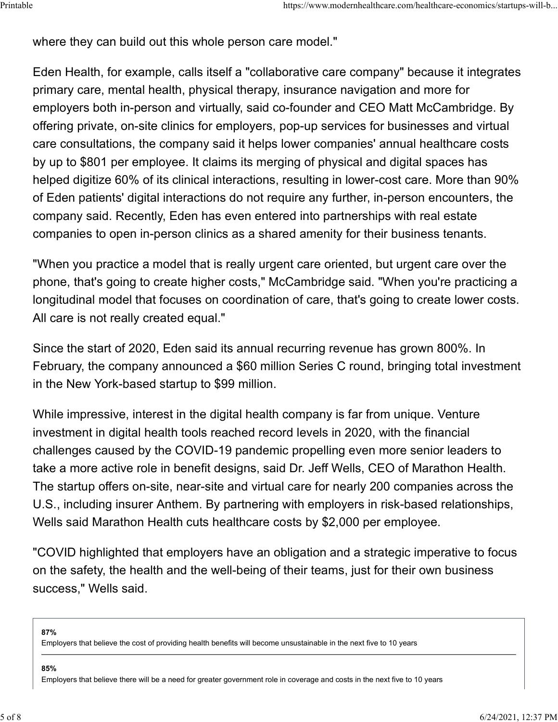where they can build out this whole person care model." Printable<br>
where they can build out this whole person care model."<br>
where they can build out this whole person care model."

Eden Health, for example, calls itself a "collaborative care company" because it integrates primary care, mental health, physical therapy, insurance navigation and more for employers both in-person and virtually, said co-founder and CEO Matt McCambridge. By offering private, on-site clinics for employers, pop-up services for businesses and virtual care consultations, the company said it helps lower companies' annual healthcare costs by up to \$801 per employee. It claims its merging of physical and digital spaces has helped digitize 60% of its clinical interactions, resulting in lower-cost care. More than 90% of Eden patients' digital interactions do not require any further, in-person encounters, the company said. Recently, Eden has even entered into partnerships with real estate companies to open in-person clinics as a shared amenity for their business tenants.

"When you practice a model that is really urgent care oriented, but urgent care over the phone, that's going to create higher costs," McCambridge said. "When you're practicing a longitudinal model that focuses on coordination of care, that's going to create lower costs. All care is not really created equal."

Since the start of 2020, Eden said its annual recurring revenue has grown 800%. In February, the company announced a \$60 million Series C round, bringing total investment in the New York-based startup to \$99 million.

While impressive, interest in the digital health company is far from unique. Venture investment in digital health tools reached record levels in 2020, with the financial challenges caused by the COVID-19 pandemic propelling even more senior leaders to take a more active role in benefit designs, said Dr. Jeff Wells, CEO of Marathon Health. The startup offers on-site, near-site and virtual care for nearly 200 companies across the U.S., including insurer Anthem. By partnering with employers in risk-based relationships, Wells said Marathon Health cuts healthcare costs by \$2,000 per employee.

"COVID highlighted that employers have an obligation and a strategic imperative to focus on the safety, the health and the well-being of their teams, just for their own business success," Wells said.

87%

Employers that believe the cost of providing health benefits will become unsustainable in the next five to 10 years

85%

Employers that believe there will be a need for greater government role in coverage and costs in the next five to 10 years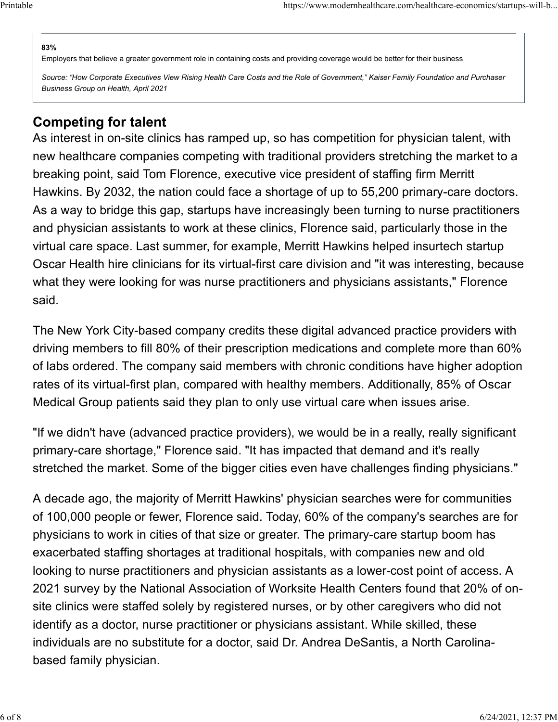### 83%

Employers that believe a greater government role in containing costs and providing coverage would be better for their business Printable https://www.modernhealthcare.com/healthcare-economics/startups-will-b...<br>
83%<br>Employers that believe a greater government role in containing costs and providing coverage would be better for their business

Source: "How Corporate Executives View Rising Health Care Costs and the Role of Government," Kaiser Family Foundation and Purchaser Business Group on Health, April 2021

# Competing for talent

As interest in on-site clinics has ramped up, so has competition for physician talent, with new healthcare companies competing with traditional providers stretching the market to a breaking point, said Tom Florence, executive vice president of staffing firm Merritt Hawkins. By 2032, the nation could face a shortage of up to 55,200 primary-care doctors. As a way to bridge this gap, startups have increasingly been turning to nurse practitioners and physician assistants to work at these clinics, Florence said, particularly those in the virtual care space. Last summer, for example, Merritt Hawkins helped insurtech startup Oscar Health hire clinicians for its virtual-first care division and "it was interesting, because what they were looking for was nurse practitioners and physicians assistants," Florence said.

The New York City-based company credits these digital advanced practice providers with driving members to fill 80% of their prescription medications and complete more than 60% of labs ordered. The company said members with chronic conditions have higher adoption rates of its virtual-first plan, compared with healthy members. Additionally, 85% of Oscar Medical Group patients said they plan to only use virtual care when issues arise.

"If we didn't have (advanced practice providers), we would be in a really, really significant primary-care shortage," Florence said. "It has impacted that demand and it's really stretched the market. Some of the bigger cities even have challenges finding physicians."

A decade ago, the majority of Merritt Hawkins' physician searches were for communities of 100,000 people or fewer, Florence said. Today, 60% of the company's searches are for physicians to work in cities of that size or greater. The primary-care startup boom has exacerbated staffing shortages at traditional hospitals, with companies new and old looking to nurse practitioners and physician assistants as a lower-cost point of access. A 2021 survey by the National Association of Worksite Health Centers found that 20% of onsite clinics were staffed solely by registered nurses, or by other caregivers who did not identify as a doctor, nurse practitioner or physicians assistant. While skilled, these individuals are no substitute for a doctor, said Dr. Andrea DeSantis, a North Carolinabased family physician.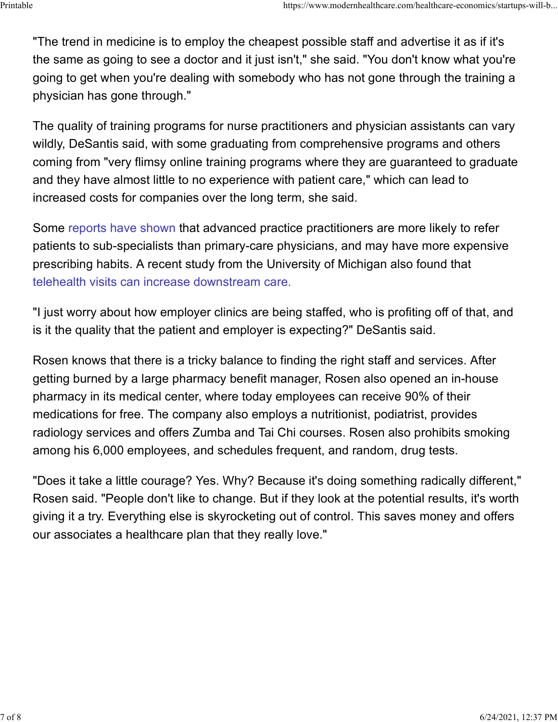"The trend in medicine is to employ the cheapest possible staff and advertise it as if it's the same as going to see a doctor and it just isn't," she said. "You don't know what you're going to get when you're dealing with somebody who has not gone through the training a physician has gone through." ...https://www.modernhealthcare.com/healthcare-economics/startups-will-b<br>"The trend in medicine is to employ the cheapest possible staff and advertise it as if it's<br>the same as going to see a doctor and it just isn't," sh

The quality of training programs for nurse practitioners and physician assistants can vary wildly, DeSantis said, with some graduating from comprehensive programs and others coming from "very flimsy online training programs where they are guaranteed to graduate and they have almost little to no experience with patient care," which can lead to increased costs for companies over the long term, she said.

Some reports have shown that advanced practice practitioners are more likely to refer patients to sub-specialists than primary-care physicians, and may have more expensive prescribing habits. A recent study from the University of Michigan also found that telehealth visits can increase downstream care.

"I just worry about how employer clinics are being staffed, who is profiting off of that, and is it the quality that the patient and employer is expecting?" DeSantis said.

Rosen knows that there is a tricky balance to finding the right staff and services. After getting burned by a large pharmacy benefit manager, Rosen also opened an in-house pharmacy in its medical center, where today employees can receive 90% of their medications for free. The company also employs a nutritionist, podiatrist, provides radiology services and offers Zumba and Tai Chi courses. Rosen also prohibits smoking among his 6,000 employees, and schedules frequent, and random, drug tests.

"Does it take a little courage? Yes. Why? Because it's doing something radically different," Rosen said. "People don't like to change. But if they look at the potential results, it's worth giving it a try. Everything else is skyrocketing out of control. This saves money and offers our associates a healthcare plan that they really love."